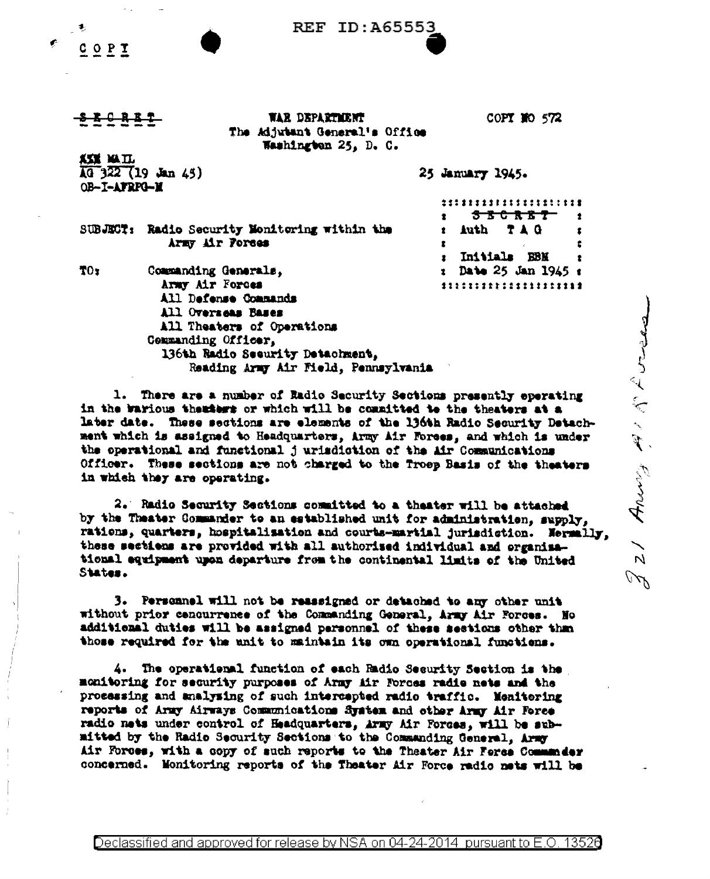| REF<br><b>ID:A65553</b> |  |
|-------------------------|--|
|-------------------------|--|



OB-I-AFRPO-M

 $\sqrt{49}$  322 (19 Jan 45)

<u>ki mil</u>

WAR DEPARTMENT The Adjutant General's Office Washington 25, D. C.

COPY NO 572

. . . . . . . . . . . .

25 January 1945.

SUBJECT: Radio Security Monitoring within the Army Air Forses

Commanding Generals,

| Ż | <del>3 B C R B T -</del>       | 2 |
|---|--------------------------------|---|
|   | Auth TAG<br>È.                 | 1 |
| E |                                | t |
|   | : Initials EBM                 | 2 |
|   | : Date 25 Jan 1945 :           |   |
|   | ******************* <b>*</b> * |   |

TO<sub>r</sub>

Army Air Forces All Defense Commands All Overseas Bases All Theaters of Operations Commanding Officer, 136th Radio Security Detachment. Reading Army Air Field, Pennsylvania

1. There are a number of Radio Security Sections presently operating in the warious theaters or which will be committed to the theaters at a later date. These sections are elements of the 136th Radio Security Detachment which is assigned to Headquarters, Army Air Forees, and which is under the operational and functional jurisdiction of the Air Communications Officer. These sections are not charged to the Troep Basis of the theaters in which they are operating.

2. Radio Security Sections committed to a theater will be attached by the Theater Commander to an established unit for administration, supply, rations, quarters, hospitalisation and courts-martial jurisdiction. Nermally, these sections are provided with all authorised individual and organisational equipment upon departure from the continental limits of the United States.

3. Personnel will not be reassigned or detached to any other unit without prior cencurrence of the Commanding General, Army Air Forces. No additional duties will be assigned personnel of these sestions other than those required for the unit to maintain its own operational functions.

4. The operational function of each Radio Security Section is the monitoring for security purposes of Army Mr Forces radio nets and the processing and analysing of such intercepted radio traffic. Monitoring reports of Army Airways Communications System and other Army Air Force radio nets under control of Headquarters, Army Air Forces, will be submitted by the Radio Security Sections to the Commanding General, Army Air Forces, with a copy of such reports to the Theater Air Force Communder concerned. Monitoring reports of the Theater Air Force radio nets will be